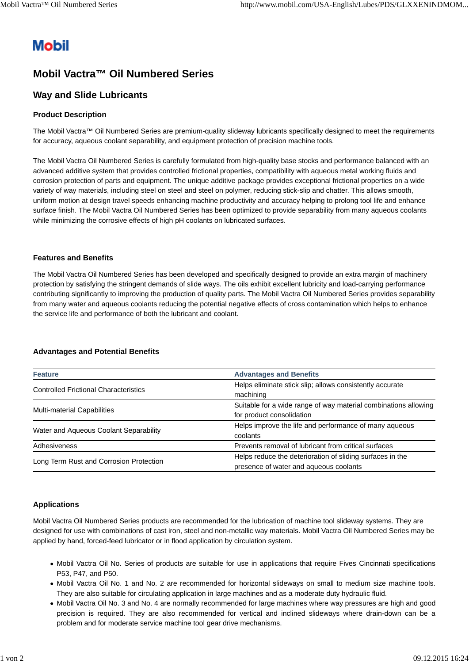# **Mobil**

## **Mobil Vactra™ Oil Numbered Series**

### **Way and Slide Lubricants**

#### **Product Description**

The Mobil Vactra™ Oil Numbered Series are premium-quality slideway lubricants specifically designed to meet the requirements for accuracy, aqueous coolant separability, and equipment protection of precision machine tools.

The Mobil Vactra Oil Numbered Series is carefully formulated from high-quality base stocks and performance balanced with an advanced additive system that provides controlled frictional properties, compatibility with aqueous metal working fluids and corrosion protection of parts and equipment. The unique additive package provides exceptional frictional properties on a wide variety of way materials, including steel on steel and steel on polymer, reducing stick-slip and chatter. This allows smooth, uniform motion at design travel speeds enhancing machine productivity and accuracy helping to prolong tool life and enhance surface finish. The Mobil Vactra Oil Numbered Series has been optimized to provide separability from many aqueous coolants while minimizing the corrosive effects of high pH coolants on lubricated surfaces.

#### **Features and Benefits**

The Mobil Vactra Oil Numbered Series has been developed and specifically designed to provide an extra margin of machinery protection by satisfying the stringent demands of slide ways. The oils exhibit excellent lubricity and load-carrying performance contributing significantly to improving the production of quality parts. The Mobil Vactra Oil Numbered Series provides separability from many water and aqueous coolants reducing the potential negative effects of cross contamination which helps to enhance the service life and performance of both the lubricant and coolant.

#### **Advantages and Potential Benefits**

| <b>Feature</b>                               | <b>Advantages and Benefits</b>                                  |  |  |
|----------------------------------------------|-----------------------------------------------------------------|--|--|
|                                              | Helps eliminate stick slip; allows consistently accurate        |  |  |
| <b>Controlled Frictional Characteristics</b> | machining                                                       |  |  |
| <b>Multi-material Capabilities</b>           | Suitable for a wide range of way material combinations allowing |  |  |
|                                              | for product consolidation                                       |  |  |
| Water and Aqueous Coolant Separability       | Helps improve the life and performance of many aqueous          |  |  |
|                                              | coolants                                                        |  |  |
| Adhesiveness                                 | Prevents removal of lubricant from critical surfaces            |  |  |
|                                              | Helps reduce the deterioration of sliding surfaces in the       |  |  |
| Long Term Rust and Corrosion Protection      | presence of water and aqueous coolants                          |  |  |

#### **Applications**

Mobil Vactra Oil Numbered Series products are recommended for the lubrication of machine tool slideway systems. They are designed for use with combinations of cast iron, steel and non-metallic way materials. Mobil Vactra Oil Numbered Series may be applied by hand, forced-feed lubricator or in flood application by circulation system.

- Mobil Vactra Oil No. Series of products are suitable for use in applications that require Fives Cincinnati specifications P53, P47, and P50.
- Mobil Vactra Oil No. 1 and No. 2 are recommended for horizontal slideways on small to medium size machine tools. They are also suitable for circulating application in large machines and as a moderate duty hydraulic fluid.
- Mobil Vactra Oil No. 3 and No. 4 are normally recommended for large machines where way pressures are high and good precision is required. They are also recommended for vertical and inclined slideways where drain-down can be a problem and for moderate service machine tool gear drive mechanisms.